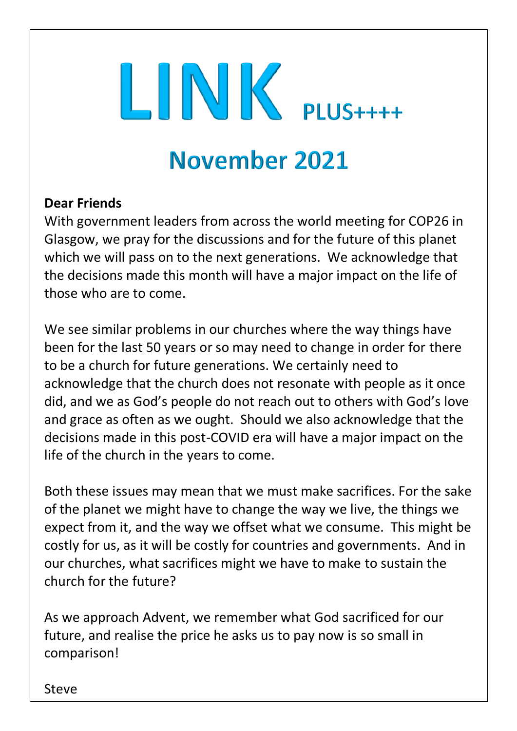# LINK PLUS++++

## November 2021

## **Dear Friends**

With government leaders from across the world meeting for COP26 in Glasgow, we pray for the discussions and for the future of this planet which we will pass on to the next generations. We acknowledge that the decisions made this month will have a major impact on the life of those who are to come.

We see similar problems in our churches where the way things have been for the last 50 years or so may need to change in order for there to be a church for future generations. We certainly need to acknowledge that the church does not resonate with people as it once did, and we as God's people do not reach out to others with God's love and grace as often as we ought. Should we also acknowledge that the decisions made in this post-COVID era will have a major impact on the life of the church in the years to come.

Both these issues may mean that we must make sacrifices. For the sake of the planet we might have to change the way we live, the things we expect from it, and the way we offset what we consume. This might be costly for us, as it will be costly for countries and governments. And in our churches, what sacrifices might we have to make to sustain the church for the future?

As we approach Advent, we remember what God sacrificed for our future, and realise the price he asks us to pay now is so small in comparison!

Steve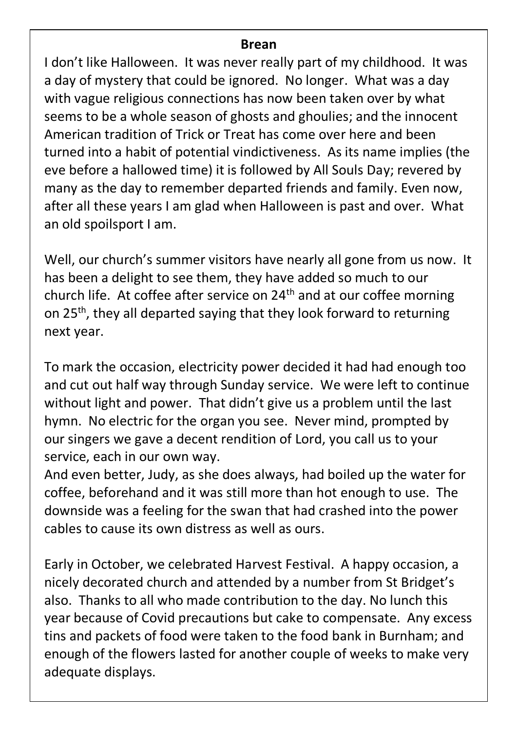#### **Brean**

I don't like Halloween. It was never really part of my childhood. It was a day of mystery that could be ignored. No longer. What was a day with vague religious connections has now been taken over by what seems to be a whole season of ghosts and ghoulies; and the innocent American tradition of Trick or Treat has come over here and been turned into a habit of potential vindictiveness. As its name implies (the eve before a hallowed time) it is followed by All Souls Day; revered by many as the day to remember departed friends and family. Even now, after all these years I am glad when Halloween is past and over. What an old spoilsport I am.

Well, our church's summer visitors have nearly all gone from us now. It has been a delight to see them, they have added so much to our church life. At coffee after service on  $24<sup>th</sup>$  and at our coffee morning on 25<sup>th</sup>, they all departed saying that they look forward to returning next year.

To mark the occasion, electricity power decided it had had enough too and cut out half way through Sunday service. We were left to continue without light and power. That didn't give us a problem until the last hymn. No electric for the organ you see. Never mind, prompted by our singers we gave a decent rendition of Lord, you call us to your service, each in our own way.

And even better, Judy, as she does always, had boiled up the water for coffee, beforehand and it was still more than hot enough to use. The downside was a feeling for the swan that had crashed into the power cables to cause its own distress as well as ours.

Early in October, we celebrated Harvest Festival. A happy occasion, a nicely decorated church and attended by a number from St Bridget's also. Thanks to all who made contribution to the day. No lunch this year because of Covid precautions but cake to compensate. Any excess tins and packets of food were taken to the food bank in Burnham; and enough of the flowers lasted for another couple of weeks to make very adequate displays.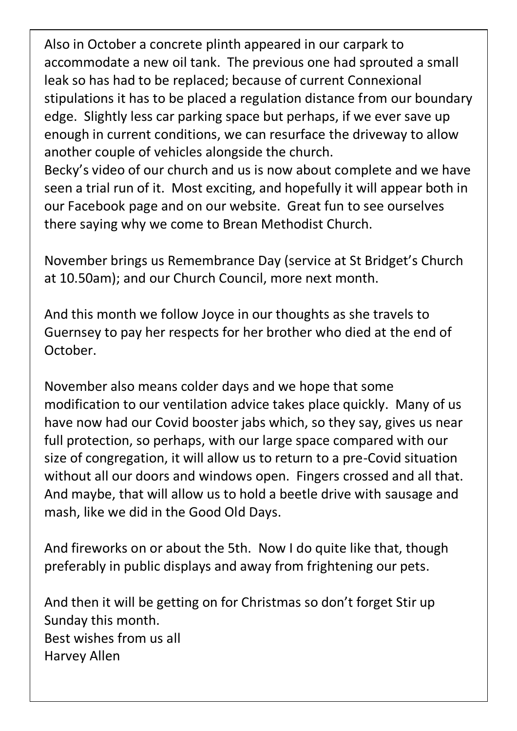Also in October a concrete plinth appeared in our carpark to accommodate a new oil tank. The previous one had sprouted a small leak so has had to be replaced; because of current Connexional stipulations it has to be placed a regulation distance from our boundary edge. Slightly less car parking space but perhaps, if we ever save up enough in current conditions, we can resurface the driveway to allow another couple of vehicles alongside the church.

Becky's video of our church and us is now about complete and we have seen a trial run of it. Most exciting, and hopefully it will appear both in our Facebook page and on our website. Great fun to see ourselves there saying why we come to Brean Methodist Church.

November brings us Remembrance Day (service at St Bridget's Church at 10.50am); and our Church Council, more next month.

And this month we follow Joyce in our thoughts as she travels to Guernsey to pay her respects for her brother who died at the end of October.

November also means colder days and we hope that some modification to our ventilation advice takes place quickly. Many of us have now had our Covid booster jabs which, so they say, gives us near full protection, so perhaps, with our large space compared with our size of congregation, it will allow us to return to a pre-Covid situation without all our doors and windows open. Fingers crossed and all that. And maybe, that will allow us to hold a beetle drive with sausage and mash, like we did in the Good Old Days.

And fireworks on or about the 5th. Now I do quite like that, though preferably in public displays and away from frightening our pets.

And then it will be getting on for Christmas so don't forget Stir up Sunday this month. Best wishes from us all Harvey Allen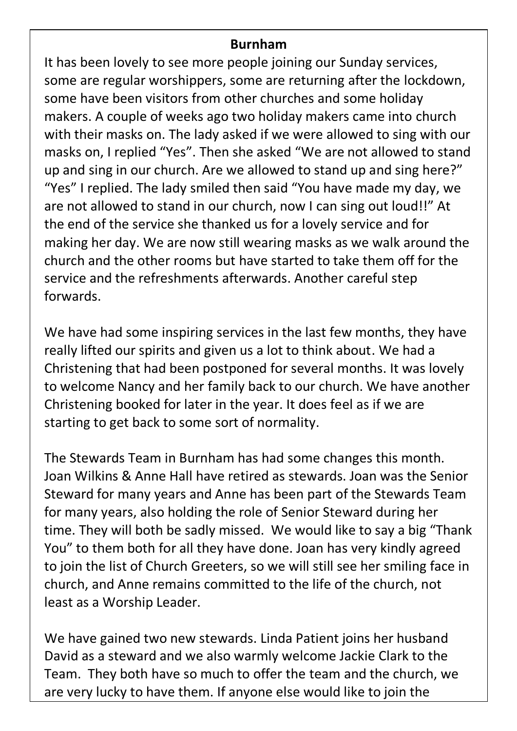### **Burnham**

It has been lovely to see more people joining our Sunday services, some are regular worshippers, some are returning after the lockdown, some have been visitors from other churches and some holiday makers. A couple of weeks ago two holiday makers came into church with their masks on. The lady asked if we were allowed to sing with our masks on, I replied "Yes". Then she asked "We are not allowed to stand up and sing in our church. Are we allowed to stand up and sing here?" "Yes" I replied. The lady smiled then said "You have made my day, we are not allowed to stand in our church, now I can sing out loud!!" At the end of the service she thanked us for a lovely service and for making her day. We are now still wearing masks as we walk around the church and the other rooms but have started to take them off for the service and the refreshments afterwards. Another careful step forwards.

We have had some inspiring services in the last few months, they have really lifted our spirits and given us a lot to think about. We had a Christening that had been postponed for several months. It was lovely to welcome Nancy and her family back to our church. We have another Christening booked for later in the year. It does feel as if we are starting to get back to some sort of normality.

The Stewards Team in Burnham has had some changes this month. Joan Wilkins & Anne Hall have retired as stewards. Joan was the Senior Steward for many years and Anne has been part of the Stewards Team for many years, also holding the role of Senior Steward during her time. They will both be sadly missed. We would like to say a big "Thank You" to them both for all they have done. Joan has very kindly agreed to join the list of Church Greeters, so we will still see her smiling face in church, and Anne remains committed to the life of the church, not least as a Worship Leader.

We have gained two new stewards. Linda Patient joins her husband David as a steward and we also warmly welcome Jackie Clark to the Team. They both have so much to offer the team and the church, we are very lucky to have them. If anyone else would like to join the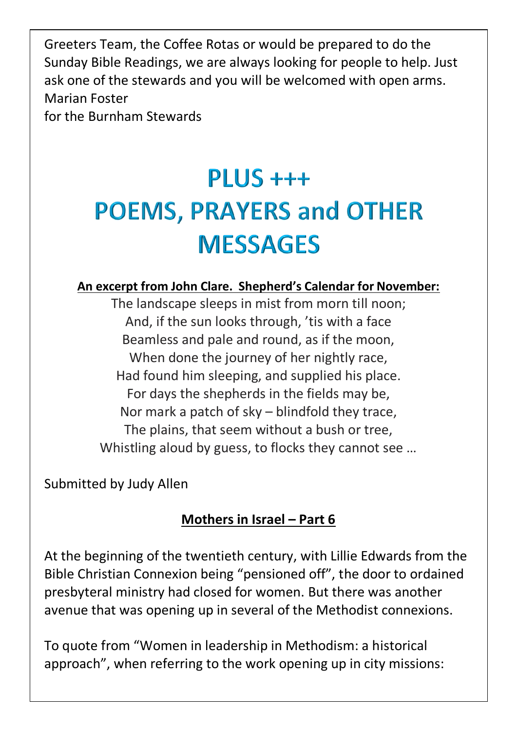Greeters Team, the Coffee Rotas or would be prepared to do the Sunday Bible Readings, we are always looking for people to help. Just ask one of the stewards and you will be welcomed with open arms. Marian Foster for the Burnham Stewards

# $PIIIS + ++$ **POEMS, PRAYERS and OTHER MESSAGES**

#### **An excerpt from John Clare. Shepherd's Calendar for November:**

The landscape sleeps in mist from morn till noon; And, if the sun looks through, 'tis with a face Beamless and pale and round, as if the moon, When done the journey of her nightly race, Had found him sleeping, and supplied his place. For days the shepherds in the fields may be, Nor mark a patch of sky – blindfold they trace, The plains, that seem without a bush or tree, Whistling aloud by guess, to flocks they cannot see …

Submitted by Judy Allen

## **Mothers in Israel – Part 6**

At the beginning of the twentieth century, with Lillie Edwards from the Bible Christian Connexion being "pensioned off", the door to ordained presbyteral ministry had closed for women. But there was another avenue that was opening up in several of the Methodist connexions.

To quote from "Women in leadership in Methodism: a historical approach", when referring to the work opening up in city missions: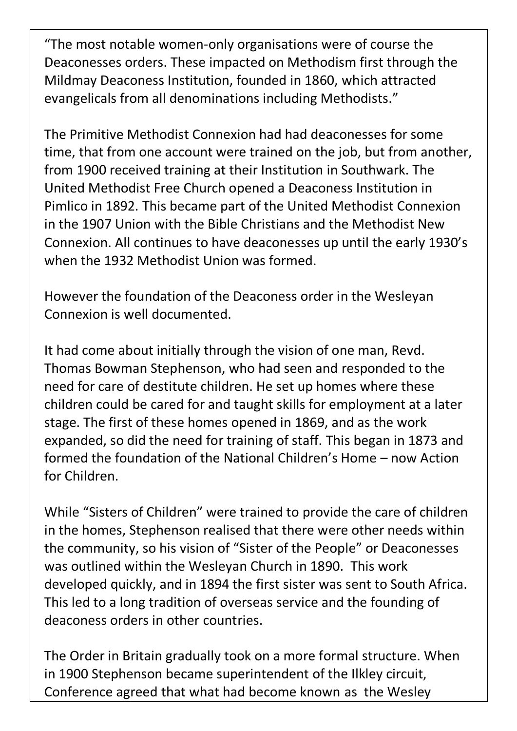"The most notable women-only organisations were of course the Deaconesses orders. These impacted on Methodism first through the Mildmay Deaconess Institution, founded in 1860, which attracted evangelicals from all denominations including Methodists."

The Primitive Methodist Connexion had had deaconesses for some time, that from one account were trained on the job, but from another, from 1900 received training at their Institution in Southwark. The United Methodist Free Church opened a Deaconess Institution in Pimlico in 1892. This became part of the United Methodist Connexion in the 1907 Union with the Bible Christians and the Methodist New Connexion. All continues to have deaconesses up until the early 1930's when the 1932 Methodist Union was formed.

However the foundation of the Deaconess order in the Wesleyan Connexion is well documented.

It had come about initially through the vision of one man, Revd. Thomas Bowman Stephenson, who had seen and responded to the need for care of destitute children. He set up homes where these children could be cared for and taught skills for employment at a later stage. The first of these homes opened in 1869, and as the work expanded, so did the need for training of staff. This began in 1873 and formed the foundation of the National Children's Home – now Action for Children.

While "Sisters of Children" were trained to provide the care of children in the homes, Stephenson realised that there were other needs within the community, so his vision of "Sister of the People" or Deaconesses was outlined within the Wesleyan Church in 1890. This work developed quickly, and in 1894 the first sister was sent to South Africa. This led to a long tradition of overseas service and the founding of deaconess orders in other countries.

The Order in Britain gradually took on a more formal structure. When in 1900 Stephenson became superintendent of the Ilkley circuit, Conference agreed that what had become known as the Wesley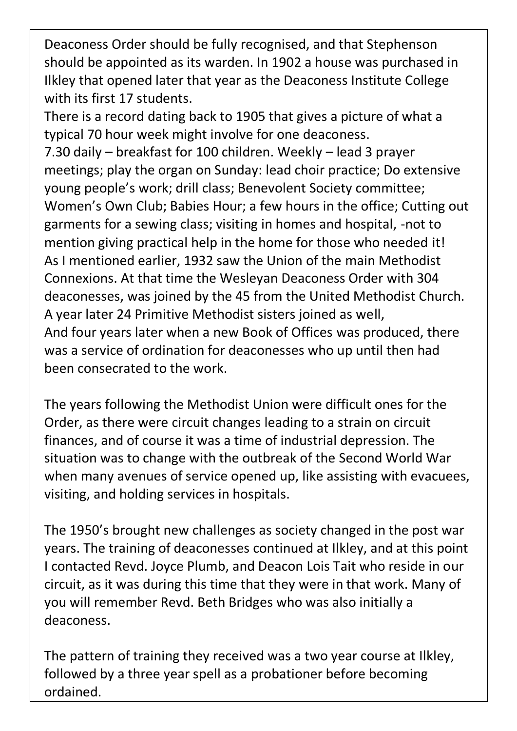Deaconess Order should be fully recognised, and that Stephenson should be appointed as its warden. In 1902 a house was purchased in Ilkley that opened later that year as the Deaconess Institute College with its first 17 students.

There is a record dating back to 1905 that gives a picture of what a typical 70 hour week might involve for one deaconess. 7.30 daily – breakfast for 100 children. Weekly – lead 3 prayer meetings; play the organ on Sunday: lead choir practice; Do extensive young people's work; drill class; Benevolent Society committee; Women's Own Club; Babies Hour; a few hours in the office; Cutting out garments for a sewing class; visiting in homes and hospital, -not to mention giving practical help in the home for those who needed it! As I mentioned earlier, 1932 saw the Union of the main Methodist Connexions. At that time the Wesleyan Deaconess Order with 304 deaconesses, was joined by the 45 from the United Methodist Church. A year later 24 Primitive Methodist sisters joined as well, And four years later when a new Book of Offices was produced, there was a service of ordination for deaconesses who up until then had been consecrated to the work.

The years following the Methodist Union were difficult ones for the Order, as there were circuit changes leading to a strain on circuit finances, and of course it was a time of industrial depression. The situation was to change with the outbreak of the Second World War when many avenues of service opened up, like assisting with evacuees, visiting, and holding services in hospitals.

The 1950's brought new challenges as society changed in the post war years. The training of deaconesses continued at Ilkley, and at this point I contacted Revd. Joyce Plumb, and Deacon Lois Tait who reside in our circuit, as it was during this time that they were in that work. Many of you will remember Revd. Beth Bridges who was also initially a deaconess.

The pattern of training they received was a two year course at Ilkley, followed by a three year spell as a probationer before becoming ordained.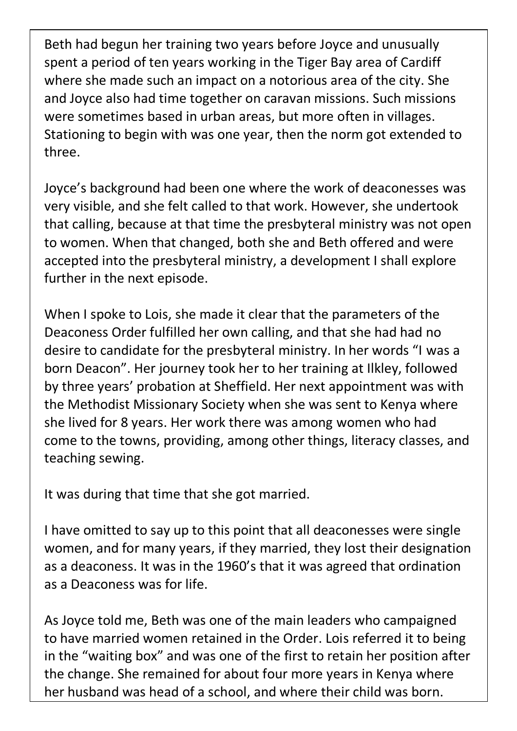Beth had begun her training two years before Joyce and unusually spent a period of ten years working in the Tiger Bay area of Cardiff where she made such an impact on a notorious area of the city. She and Joyce also had time together on caravan missions. Such missions were sometimes based in urban areas, but more often in villages. Stationing to begin with was one year, then the norm got extended to three.

Joyce's background had been one where the work of deaconesses was very visible, and she felt called to that work. However, she undertook that calling, because at that time the presbyteral ministry was not open to women. When that changed, both she and Beth offered and were accepted into the presbyteral ministry, a development I shall explore further in the next episode.

When I spoke to Lois, she made it clear that the parameters of the Deaconess Order fulfilled her own calling, and that she had had no desire to candidate for the presbyteral ministry. In her words "I was a born Deacon". Her journey took her to her training at Ilkley, followed by three years' probation at Sheffield. Her next appointment was with the Methodist Missionary Society when she was sent to Kenya where she lived for 8 years. Her work there was among women who had come to the towns, providing, among other things, literacy classes, and teaching sewing.

It was during that time that she got married.

I have omitted to say up to this point that all deaconesses were single women, and for many years, if they married, they lost their designation as a deaconess. It was in the 1960's that it was agreed that ordination as a Deaconess was for life.

As Joyce told me, Beth was one of the main leaders who campaigned to have married women retained in the Order. Lois referred it to being in the "waiting box" and was one of the first to retain her position after the change. She remained for about four more years in Kenya where her husband was head of a school, and where their child was born.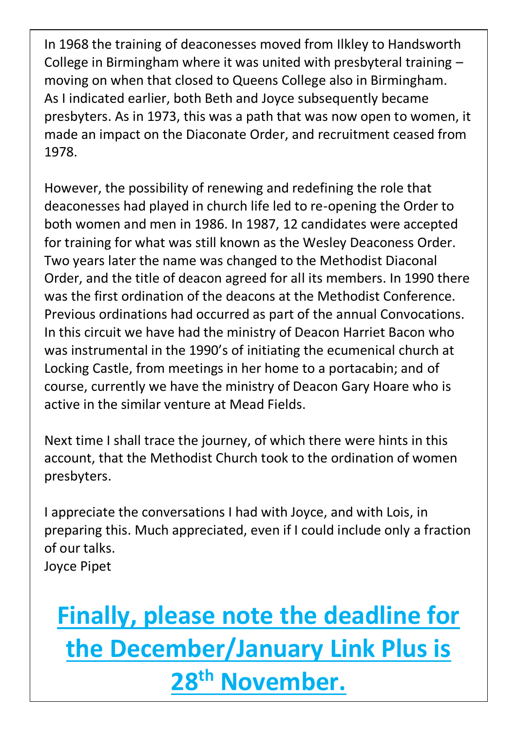In 1968 the training of deaconesses moved from Ilkley to Handsworth College in Birmingham where it was united with presbyteral training – moving on when that closed to Queens College also in Birmingham. As I indicated earlier, both Beth and Joyce subsequently became presbyters. As in 1973, this was a path that was now open to women, it made an impact on the Diaconate Order, and recruitment ceased from 1978.

However, the possibility of renewing and redefining the role that deaconesses had played in church life led to re-opening the Order to both women and men in 1986. In 1987, 12 candidates were accepted for training for what was still known as the Wesley Deaconess Order. Two years later the name was changed to the Methodist Diaconal Order, and the title of deacon agreed for all its members. In 1990 there was the first ordination of the deacons at the Methodist Conference. Previous ordinations had occurred as part of the annual Convocations. In this circuit we have had the ministry of Deacon Harriet Bacon who was instrumental in the 1990's of initiating the ecumenical church at Locking Castle, from meetings in her home to a portacabin; and of course, currently we have the ministry of Deacon Gary Hoare who is active in the similar venture at Mead Fields.

Next time I shall trace the journey, of which there were hints in this account, that the Methodist Church took to the ordination of women presbyters.

I appreciate the conversations I had with Joyce, and with Lois, in preparing this. Much appreciated, even if I could include only a fraction of our talks. Joyce Pipet

# **Finally, please note the deadline for the December/January Link Plus is 28 th November.**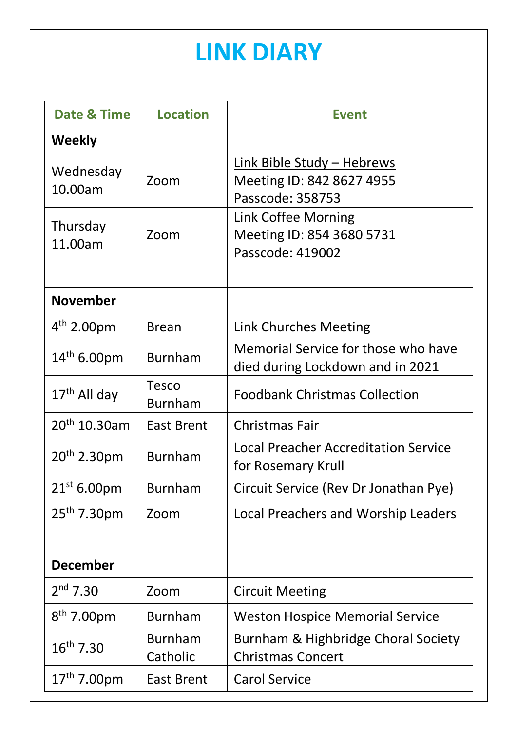## **LINK DIARY**

| <b>Date &amp; Time</b>   | <b>Location</b>            | <b>Event</b>                                                                |
|--------------------------|----------------------------|-----------------------------------------------------------------------------|
| <b>Weekly</b>            |                            |                                                                             |
| Wednesday<br>10.00am     | Zoom                       | Link Bible Study - Hebrews<br>Meeting ID: 842 8627 4955<br>Passcode: 358753 |
| Thursday<br>11.00am      | Zoom                       | Link Coffee Morning<br>Meeting ID: 854 3680 5731<br>Passcode: 419002        |
| <b>November</b>          |                            |                                                                             |
| $4^{th}$ 2.00pm          | <b>Brean</b>               | Link Churches Meeting                                                       |
| $14^{th}$ 6.00pm         | <b>Burnham</b>             | Memorial Service for those who have<br>died during Lockdown and in 2021     |
| 17 <sup>th</sup> All day | Tesco<br><b>Burnham</b>    | <b>Foodbank Christmas Collection</b>                                        |
| 20 <sup>th</sup> 10.30am | <b>East Brent</b>          | Christmas Fair                                                              |
| 20th 2.30pm              | <b>Burnham</b>             | <b>Local Preacher Accreditation Service</b><br>for Rosemary Krull           |
| $21^{st}$ 6.00pm         | <b>Burnham</b>             | Circuit Service (Rev Dr Jonathan Pye)                                       |
| 25 <sup>th</sup> 7.30pm  | Zoom                       | Local Preachers and Worship Leaders                                         |
|                          |                            |                                                                             |
| <b>December</b>          |                            |                                                                             |
| $2nd$ 7.30               | Zoom                       | <b>Circuit Meeting</b>                                                      |
| $8^{th}$ 7.00pm          | <b>Burnham</b>             | <b>Weston Hospice Memorial Service</b>                                      |
| $16^{th}$ 7.30           | <b>Burnham</b><br>Catholic | Burnham & Highbridge Choral Society<br><b>Christmas Concert</b>             |
| $17^{th}$ 7.00pm         | <b>East Brent</b>          | <b>Carol Service</b>                                                        |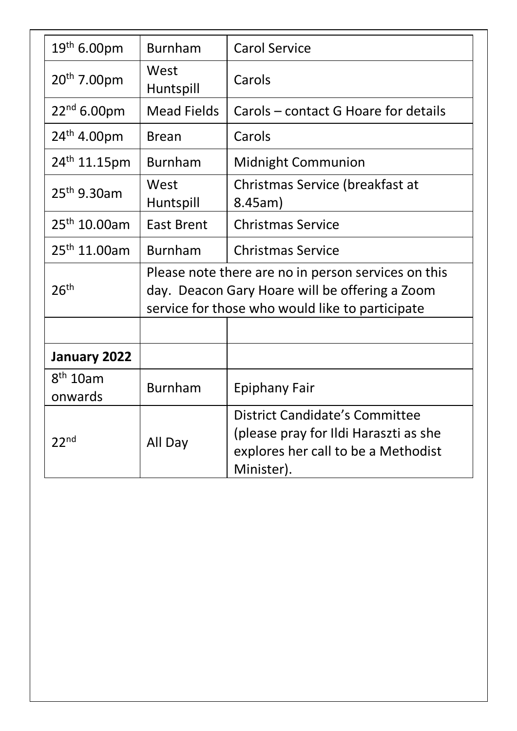| 19th 6.00pm                     | <b>Burnham</b>                                                                                                                                           | <b>Carol Service</b>                                                                                                                |
|---------------------------------|----------------------------------------------------------------------------------------------------------------------------------------------------------|-------------------------------------------------------------------------------------------------------------------------------------|
| 20 <sup>th</sup> 7.00pm         | West<br>Huntspill                                                                                                                                        | Carols                                                                                                                              |
| $22^{nd}$ 6.00pm                | <b>Mead Fields</b>                                                                                                                                       | Carols – contact G Hoare for details                                                                                                |
| $24^{th}$ 4.00pm                | Brean                                                                                                                                                    | Carols                                                                                                                              |
| 24 <sup>th</sup> 11.15pm        | <b>Burnham</b>                                                                                                                                           | Midnight Communion                                                                                                                  |
| 25 <sup>th</sup> 9.30am         | West<br>Huntspill                                                                                                                                        | Christmas Service (breakfast at<br>8.45am)                                                                                          |
| 25 <sup>th</sup> 10.00am        | East Brent                                                                                                                                               | <b>Christmas Service</b>                                                                                                            |
| 25 <sup>th</sup> 11.00am        | <b>Burnham</b>                                                                                                                                           | <b>Christmas Service</b>                                                                                                            |
| 26 <sup>th</sup>                | Please note there are no in person services on this<br>day. Deacon Gary Hoare will be offering a Zoom<br>service for those who would like to participate |                                                                                                                                     |
| January 2022                    |                                                                                                                                                          |                                                                                                                                     |
| 8 <sup>th</sup> 10am<br>onwards | <b>Burnham</b>                                                                                                                                           | Epiphany Fair                                                                                                                       |
| 22 <sub>nd</sub>                | All Day                                                                                                                                                  | <b>District Candidate's Committee</b><br>(please pray for Ildi Haraszti as she<br>explores her call to be a Methodist<br>Minister). |